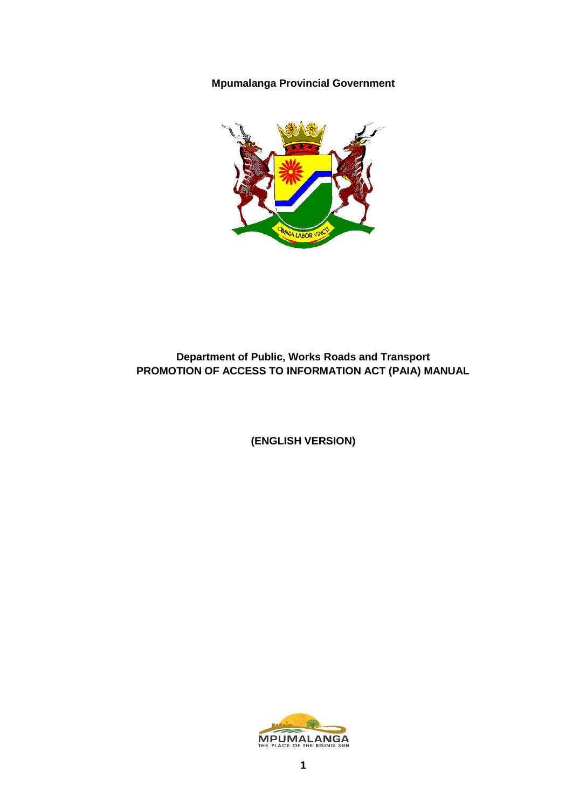**Mpumalanga Provincial Government**



## **Department of Public, Works Roads and Transport PROMOTION OF ACCESS TO INFORMATION ACT (PAIA) MANUAL**

**(ENGLISH VERSION)**

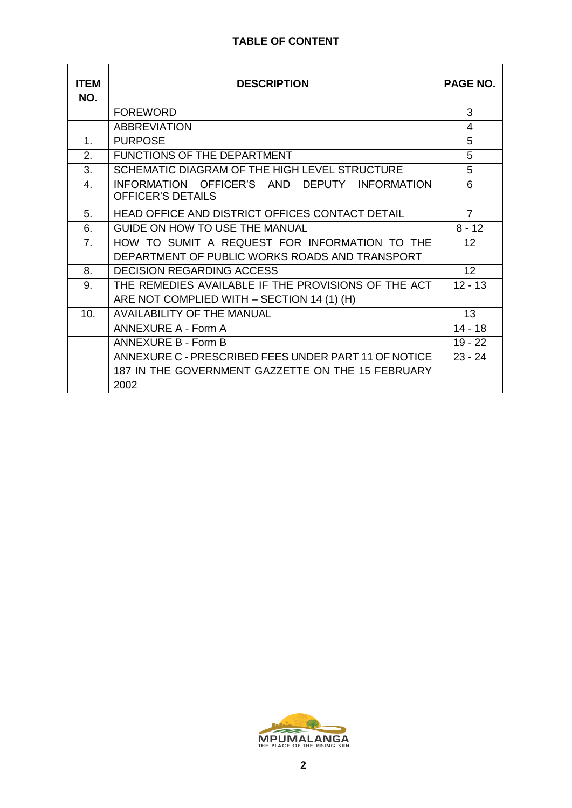#### **TABLE OF CONTENT**

| <b>ITEM</b><br>NO. | <b>DESCRIPTION</b>                                                                                                | <b>PAGE NO.</b> |
|--------------------|-------------------------------------------------------------------------------------------------------------------|-----------------|
|                    | <b>FOREWORD</b>                                                                                                   | 3               |
|                    | <b>ABBREVIATION</b>                                                                                               | 4               |
| $\mathbf{1}$ .     | <b>PURPOSE</b>                                                                                                    | $\overline{5}$  |
| 2.                 | <b>FUNCTIONS OF THE DEPARTMENT</b>                                                                                | 5               |
| 3.                 | SCHEMATIC DIAGRAM OF THE HIGH LEVEL STRUCTURE                                                                     | 5               |
| $\mathbf{4}$ .     | INFORMATION OFFICER'S AND DEPUTY INFORMATION<br>OFFICER'S DETAILS                                                 | 6               |
| 5.                 | HEAD OFFICE AND DISTRICT OFFICES CONTACT DETAIL                                                                   | $\overline{7}$  |
| 6.                 | GUIDE ON HOW TO USE THE MANUAL                                                                                    | $8 - 12$        |
| 7 <sub>1</sub>     | HOW TO SUMIT A REQUEST FOR INFORMATION TO THE<br>DEPARTMENT OF PUBLIC WORKS ROADS AND TRANSPORT                   | 12 <sup>2</sup> |
| 8.                 | <b>DECISION REGARDING ACCESS</b>                                                                                  | 12 <sup>2</sup> |
| 9.                 | THE REMEDIES AVAILABLE IF THE PROVISIONS OF THE ACT<br>ARE NOT COMPLIED WITH - SECTION 14 (1) (H)                 | $12 - 13$       |
| 10.                | <b>AVAILABILITY OF THE MANUAL</b>                                                                                 | 13              |
|                    | <b>ANNEXURE A - Form A</b>                                                                                        | $14 - 18$       |
|                    | ANNEXURE B - Form B                                                                                               | $19 - 22$       |
|                    | ANNEXURE C - PRESCRIBED FEES UNDER PART 11 OF NOTICE<br>187 IN THE GOVERNMENT GAZZETTE ON THE 15 FEBRUARY<br>2002 | $23 - 24$       |

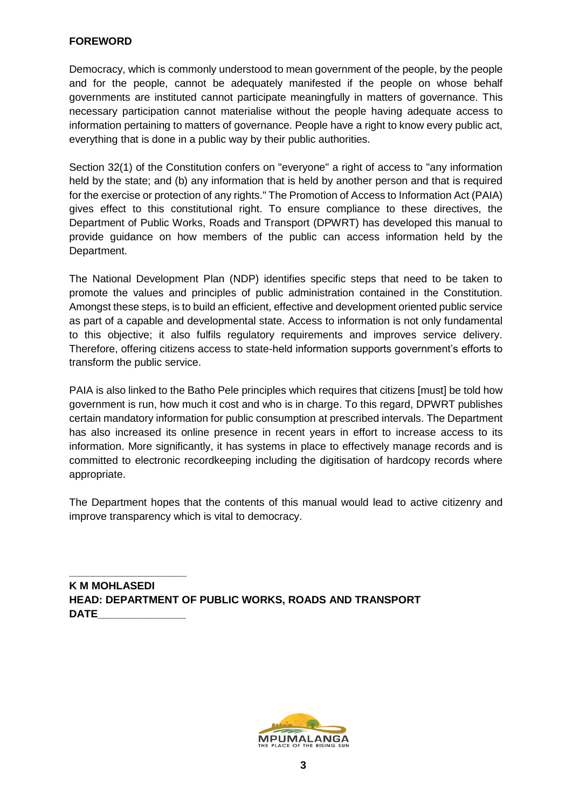#### **FOREWORD**

Democracy, which is commonly understood to mean government of the people, by the people and for the people, cannot be adequately manifested if the people on whose behalf governments are instituted cannot participate meaningfully in matters of governance. This necessary participation cannot materialise without the people having adequate access to information pertaining to matters of governance. People have a right to know every public act, everything that is done in a public way by their public authorities.

Section 32(1) of the Constitution confers on "everyone" a right of access to "any information held by the state; and (b) any information that is held by another person and that is required for the exercise or protection of any rights." The Promotion of Access to Information Act (PAIA) gives effect to this constitutional right. To ensure compliance to these directives, the Department of Public Works, Roads and Transport (DPWRT) has developed this manual to provide guidance on how members of the public can access information held by the Department.

The National Development Plan (NDP) identifies specific steps that need to be taken to promote the values and principles of public administration contained in the Constitution. Amongst these steps, is to build an efficient, effective and development oriented public service as part of a capable and developmental state. Access to information is not only fundamental to this objective; it also fulfils regulatory requirements and improves service delivery. Therefore, offering citizens access to state-held information supports government's efforts to transform the public service.

PAIA is also linked to the Batho Pele principles which requires that citizens [must] be told how government is run, how much it cost and who is in charge. To this regard, DPWRT publishes certain mandatory information for public consumption at prescribed intervals. The Department has also increased its online presence in recent years in effort to increase access to its information. More significantly, it has systems in place to effectively manage records and is committed to electronic recordkeeping including the digitisation of hardcopy records where appropriate.

The Department hopes that the contents of this manual would lead to active citizenry and improve transparency which is vital to democracy.

**K M MOHLASEDI HEAD: DEPARTMENT OF PUBLIC WORKS, ROADS AND TRANSPORT DATE\_\_\_\_\_\_\_\_\_\_\_\_\_\_\_**

**\_\_\_\_\_\_\_\_\_\_\_\_\_\_\_\_\_\_\_\_**

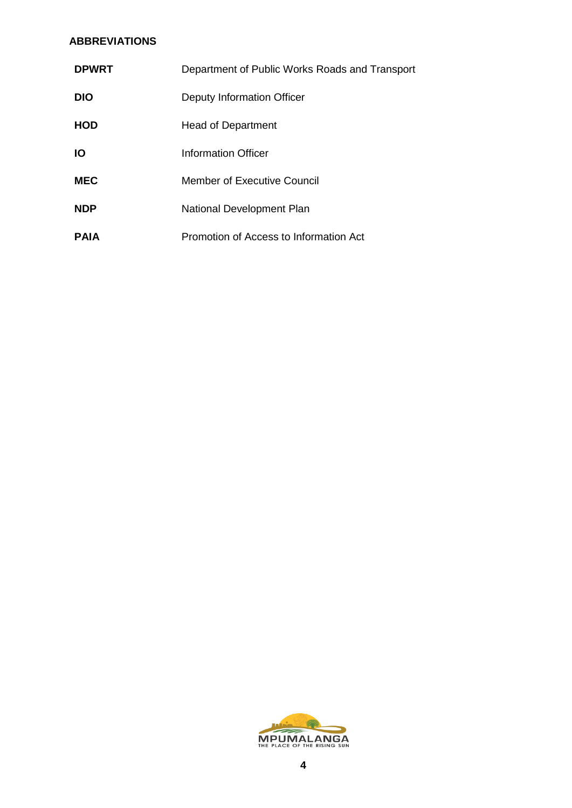#### **ABBREVIATIONS**

| <b>DPWRT</b> | Department of Public Works Roads and Transport |  |
|--------------|------------------------------------------------|--|
| <b>DIO</b>   | Deputy Information Officer                     |  |
| <b>HOD</b>   | <b>Head of Department</b>                      |  |
| ΙO           | Information Officer                            |  |
| <b>MEC</b>   | Member of Executive Council                    |  |
| <b>NDP</b>   | National Development Plan                      |  |
| <b>PAIA</b>  | Promotion of Access to Information Act         |  |

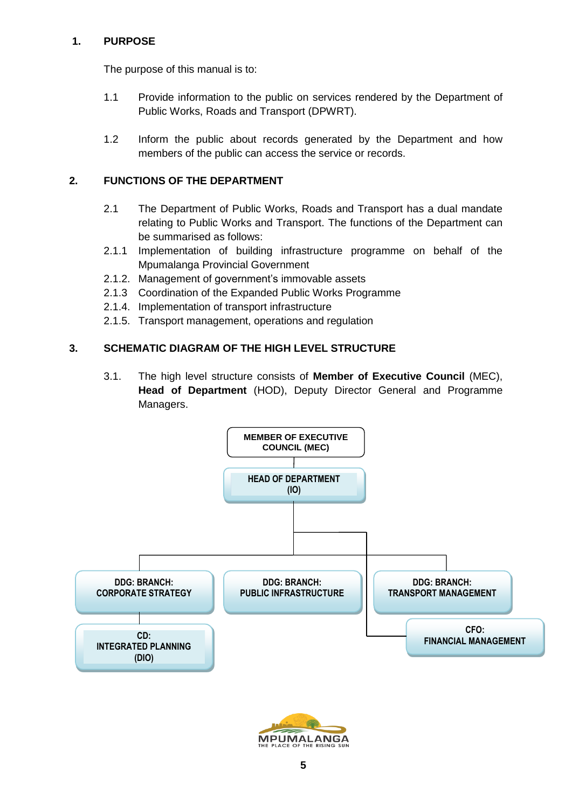#### **1. PURPOSE**

The purpose of this manual is to:

- 1.1 Provide information to the public on services rendered by the Department of Public Works, Roads and Transport (DPWRT).
- 1.2 Inform the public about records generated by the Department and how members of the public can access the service or records.

## **2. FUNCTIONS OF THE DEPARTMENT**

- 2.1 The Department of Public Works, Roads and Transport has a dual mandate relating to Public Works and Transport. The functions of the Department can be summarised as follows:
- 2.1.1 Implementation of building infrastructure programme on behalf of the Mpumalanga Provincial Government
- 2.1.2. Management of government's immovable assets
- 2.1.3 Coordination of the Expanded Public Works Programme
- 2.1.4. Implementation of transport infrastructure
- 2.1.5. Transport management, operations and regulation

#### **3. SCHEMATIC DIAGRAM OF THE HIGH LEVEL STRUCTURE**

3.1. The high level structure consists of **Member of Executive Council** (MEC), **Head of Department** (HOD), Deputy Director General and Programme Managers.



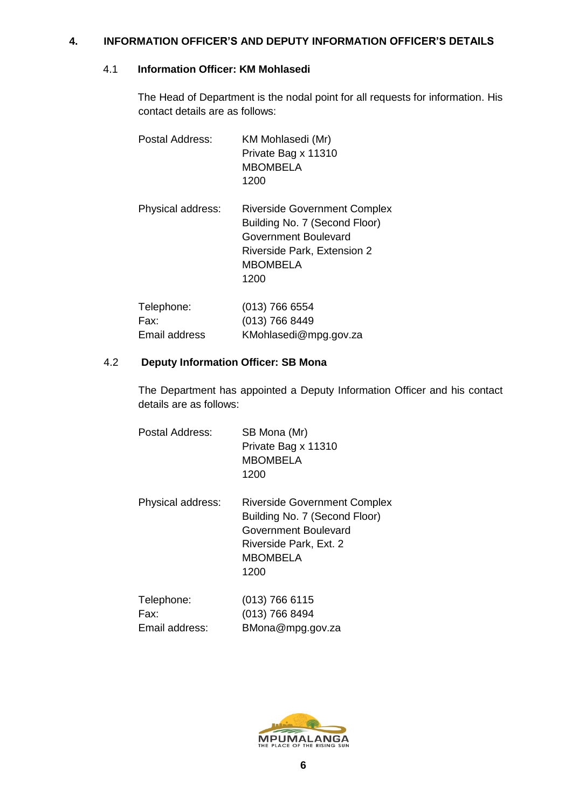#### **4. INFORMATION OFFICER'S AND DEPUTY INFORMATION OFFICER'S DETAILS**

#### 4.1 **Information Officer: KM Mohlasedi**

The Head of Department is the nodal point for all requests for information. His contact details are as follows:

| Postal Address:    | KM Mohlasedi (Mr)<br>Private Bag x 11310<br><b>MBOMBELA</b><br>1200                                                                                           |
|--------------------|---------------------------------------------------------------------------------------------------------------------------------------------------------------|
| Physical address:  | <b>Riverside Government Complex</b><br>Building No. 7 (Second Floor)<br>Government Boulevard<br><b>Riverside Park, Extension 2</b><br><b>MBOMBELA</b><br>1200 |
| Telephone:<br>Fax: | $(013)$ 766 6554<br>(013) 766 8449                                                                                                                            |

Email address [KMohlasedi@mpg.gov.za](file:///G:/KM-KNOWLEDGE%20MANAGEMENT%202015-16%20&%202016-2017)/NkosiSi/AppData/Local/Temp/XPgrpwise/KMohlasedi@mpg.gov.za)

# 4.2 **Deputy Information Officer: SB Mona**

The Department has appointed a Deputy Information Officer and his contact details are as follows:

| Postal Address:    | SB Mona (Mr)<br>Private Bag x 11310<br><b>MBOMBELA</b><br>1200                                                                                    |
|--------------------|---------------------------------------------------------------------------------------------------------------------------------------------------|
| Physical address:  | <b>Riverside Government Complex</b><br>Building No. 7 (Second Floor)<br>Government Boulevard<br>Riverside Park, Ext. 2<br><b>MBOMBELA</b><br>1200 |
| Telephone:<br>Eov. | (013) 766 6115<br>$(013)$ 766 8101                                                                                                                |

| Fax:           | (013) 766 8494   |
|----------------|------------------|
| Email address: | BMona@mpg.gov.za |
|                |                  |

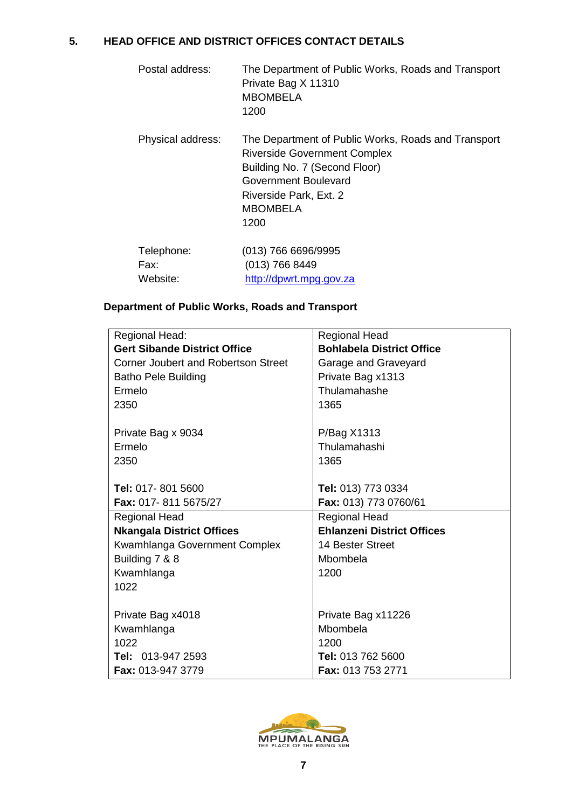### **5. HEAD OFFICE AND DISTRICT OFFICES CONTACT DETAILS**

| Postal address:                | The Department of Public Works, Roads and Transport<br>Private Bag X 11310<br><b>MBOMBELA</b><br>1200                                                                                                    |
|--------------------------------|----------------------------------------------------------------------------------------------------------------------------------------------------------------------------------------------------------|
| Physical address:              | The Department of Public Works, Roads and Transport<br><b>Riverside Government Complex</b><br>Building No. 7 (Second Floor)<br>Government Boulevard<br>Riverside Park, Ext. 2<br><b>MBOMBELA</b><br>1200 |
| Telephone:<br>Fax:<br>Website: | (013) 766 6696/9995<br>$(013)$ 766 8449<br>http://dpwrt.mpg.gov.za                                                                                                                                       |

## **Department of Public Works, Roads and Transport**

| Regional Head:                      | <b>Regional Head</b>              |
|-------------------------------------|-----------------------------------|
| <b>Gert Sibande District Office</b> | <b>Bohlabela District Office</b>  |
|                                     |                                   |
| Corner Joubert and Robertson Street | Garage and Graveyard              |
| <b>Batho Pele Building</b>          | Private Bag x1313                 |
| Ermelo                              | Thulamahashe                      |
| 2350                                | 1365                              |
|                                     |                                   |
| Private Bag x 9034                  | P/Bag X1313                       |
| Ermelo                              | Thulamahashi                      |
| 2350                                | 1365                              |
|                                     |                                   |
| Tel: 017-801 5600                   | Tel: 013) 773 0334                |
| Fax: 017-811 5675/27                | Fax: 013) 773 0760/61             |
| <b>Regional Head</b>                | <b>Regional Head</b>              |
| <b>Nkangala District Offices</b>    | <b>Ehlanzeni District Offices</b> |
| Kwamhlanga Government Complex       | 14 Bester Street                  |
| Building 7 & 8                      | Mbombela                          |
| Kwamhlanga                          | 1200                              |
| 1022                                |                                   |
|                                     |                                   |
| Private Bag x4018                   | Private Bag x11226                |
| Kwamhlanga                          | Mbombela                          |
| 1022                                | 1200                              |
| Tel: 013-947 2593                   | Tel: 013 762 5600                 |
| Fax: 013-947 3779                   | Fax: 013 753 2771                 |

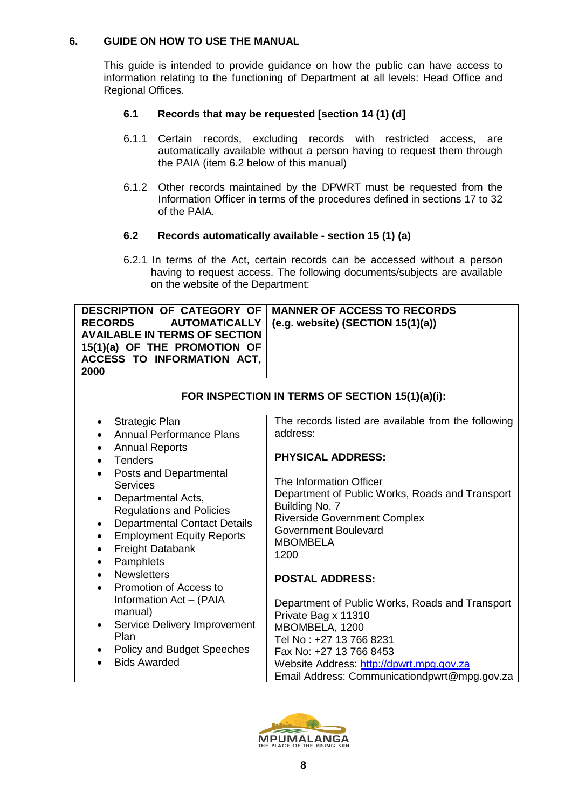#### **6. GUIDE ON HOW TO USE THE MANUAL**

This guide is intended to provide guidance on how the public can have access to information relating to the functioning of Department at all levels: Head Office and Regional Offices.

### **6.1 Records that may be requested [section 14 (1) (d]**

- 6.1.1 Certain records, excluding records with restricted access, are automatically available without a person having to request them through the PAIA (item 6.2 below of this manual)
- 6.1.2 Other records maintained by the DPWRT must be requested from the Information Officer in terms of the procedures defined in sections 17 to 32 of the PAIA.

#### **6.2 Records automatically available - section 15 (1) (a)**

 6.2.1 In terms of the Act, certain records can be accessed without a person having to request access. The following documents/subjects are available on the website of the Department:

|                                      | <b>DESCRIPTION OF CATEGORY OF   MANNER OF ACCESS TO RECORDS</b> |
|--------------------------------------|-----------------------------------------------------------------|
| <b>RECORDS</b>                       | AUTOMATICALLY   (e.g. website) (SECTION 15(1)(a))               |
| <b>AVAILABLE IN TERMS OF SECTION</b> |                                                                 |
| 15(1)(a) OF THE PROMOTION OF         |                                                                 |
| ACCESS TO INFORMATION ACT,           |                                                                 |
| 2000                                 |                                                                 |
|                                      |                                                                 |

| FOR INSPECTION IN TERMS OF SECTION 15(1)(a)(i):                                                                                                                                                                                                 |                                                                                                                                                                                                                                            |  |
|-------------------------------------------------------------------------------------------------------------------------------------------------------------------------------------------------------------------------------------------------|--------------------------------------------------------------------------------------------------------------------------------------------------------------------------------------------------------------------------------------------|--|
| Strategic Plan<br>$\bullet$                                                                                                                                                                                                                     | The records listed are available from the following                                                                                                                                                                                        |  |
| <b>Annual Performance Plans</b>                                                                                                                                                                                                                 | address:                                                                                                                                                                                                                                   |  |
| <b>Annual Reports</b><br>$\bullet$                                                                                                                                                                                                              |                                                                                                                                                                                                                                            |  |
| <b>Tenders</b><br>$\bullet$                                                                                                                                                                                                                     | <b>PHYSICAL ADDRESS:</b>                                                                                                                                                                                                                   |  |
| Posts and Departmental<br><b>Services</b><br>Departmental Acts,<br>$\bullet$<br><b>Regulations and Policies</b><br><b>Departmental Contact Details</b><br>$\bullet$<br><b>Employment Equity Reports</b><br>$\bullet$<br><b>Freight Databank</b> | The Information Officer<br>Department of Public Works, Roads and Transport<br>Building No. 7<br><b>Riverside Government Complex</b><br>Government Boulevard<br><b>MBOMBELA</b><br>1200                                                     |  |
| Pamphlets<br>$\bullet$<br><b>Newsletters</b><br>$\bullet$<br>Promotion of Access to<br>$\bullet$                                                                                                                                                | <b>POSTAL ADDRESS:</b>                                                                                                                                                                                                                     |  |
| Information Act - (PAIA<br>manual)<br>Service Delivery Improvement<br>$\bullet$<br>Plan<br>Policy and Budget Speeches<br><b>Bids Awarded</b>                                                                                                    | Department of Public Works, Roads and Transport<br>Private Bag x 11310<br>MBOMBELA, 1200<br>Tel No: +27 13 766 8231<br>Fax No: +27 13 766 8453<br>Website Address: http://dpwrt.mpg.gov.za<br>Email Address: Communicationdpwrt@mpg.gov.za |  |

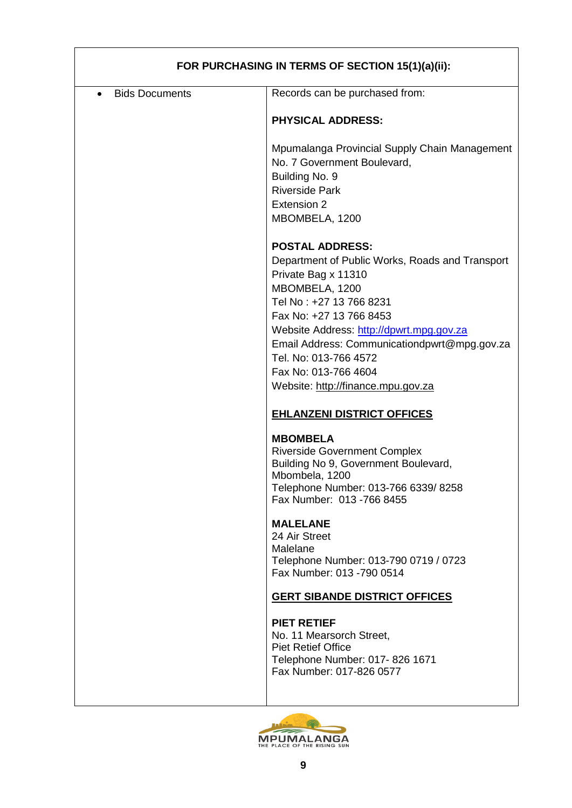| FOR PURCHASING IN TERMS OF SECTION 15(1)(a)(ii): |                                                                                                                                                                                                                                                                                                                                                             |  |
|--------------------------------------------------|-------------------------------------------------------------------------------------------------------------------------------------------------------------------------------------------------------------------------------------------------------------------------------------------------------------------------------------------------------------|--|
| <b>Bids Documents</b><br>$\bullet$               | Records can be purchased from:                                                                                                                                                                                                                                                                                                                              |  |
|                                                  | <b>PHYSICAL ADDRESS:</b>                                                                                                                                                                                                                                                                                                                                    |  |
|                                                  | Mpumalanga Provincial Supply Chain Management<br>No. 7 Government Boulevard,<br>Building No. 9                                                                                                                                                                                                                                                              |  |
|                                                  | <b>Riverside Park</b><br>Extension 2                                                                                                                                                                                                                                                                                                                        |  |
|                                                  | MBOMBELA, 1200                                                                                                                                                                                                                                                                                                                                              |  |
|                                                  | <b>POSTAL ADDRESS:</b><br>Department of Public Works, Roads and Transport<br>Private Bag x 11310<br>MBOMBELA, 1200<br>Tel No: +27 13 766 8231<br>Fax No: +27 13 766 8453<br>Website Address: http://dpwrt.mpg.gov.za<br>Email Address: Communicationdpwrt@mpg.gov.za<br>Tel. No: 013-766 4572<br>Fax No: 013-766 4604<br>Website: http://finance.mpu.gov.za |  |
|                                                  | <b>EHLANZENI DISTRICT OFFICES</b>                                                                                                                                                                                                                                                                                                                           |  |
|                                                  | <b>MBOMBELA</b><br><b>Riverside Government Complex</b><br>Building No 9, Government Boulevard,<br>Mbombela, 1200<br>Telephone Number: 013-766 6339/ 8258<br>Fax Number: 013 - 766 8455                                                                                                                                                                      |  |
|                                                  | <b>MALELANE</b><br>24 Air Street<br>Malelane<br>Telephone Number: 013-790 0719 / 0723<br>Fax Number: 013 - 790 0514                                                                                                                                                                                                                                         |  |
|                                                  | <b>GERT SIBANDE DISTRICT OFFICES</b>                                                                                                                                                                                                                                                                                                                        |  |
|                                                  | <b>PIET RETIEF</b><br>No. 11 Mearsorch Street,<br><b>Piet Retief Office</b><br>Telephone Number: 017-826 1671<br>Fax Number: 017-826 0577                                                                                                                                                                                                                   |  |
|                                                  |                                                                                                                                                                                                                                                                                                                                                             |  |

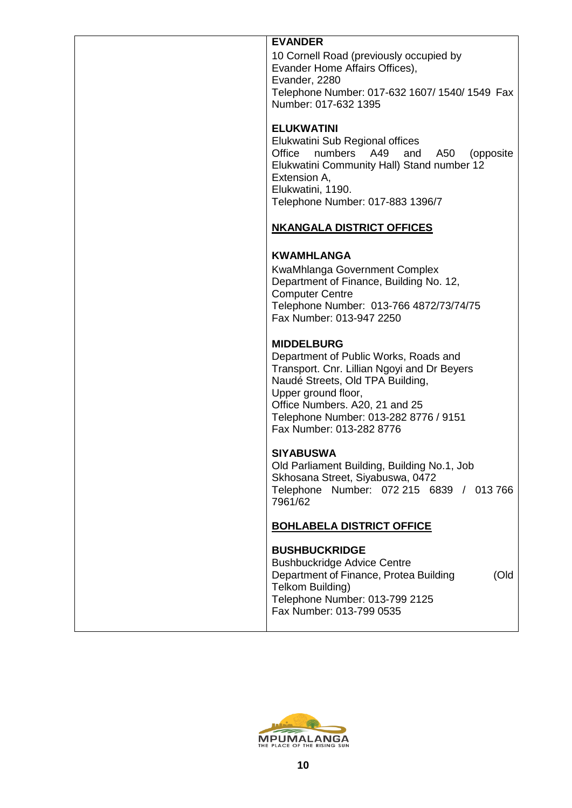| <b>EVANDER</b>                                                                                                                                                                                                                                                              |
|-----------------------------------------------------------------------------------------------------------------------------------------------------------------------------------------------------------------------------------------------------------------------------|
| 10 Cornell Road (previously occupied by<br>Evander Home Affairs Offices),<br>Evander, 2280<br>Telephone Number: 017-632 1607/ 1540/ 1549 Fax<br>Number: 017-632 1395                                                                                                        |
| <b>ELUKWATINI</b><br>Elukwatini Sub Regional offices<br>Office numbers A49<br>and<br>A50<br>(opposite<br>Elukwatini Community Hall) Stand number 12<br>Extension A,<br>Elukwatini, 1190.<br>Telephone Number: 017-883 1396/7                                                |
| <b>NKANGALA DISTRICT OFFICES</b>                                                                                                                                                                                                                                            |
| <b>KWAMHLANGA</b><br>KwaMhlanga Government Complex<br>Department of Finance, Building No. 12,<br><b>Computer Centre</b><br>Telephone Number: 013-766 4872/73/74/75<br>Fax Number: 013-947 2250                                                                              |
| <b>MIDDELBURG</b><br>Department of Public Works, Roads and<br>Transport. Cnr. Lillian Ngoyi and Dr Beyers<br>Naudé Streets, Old TPA Building,<br>Upper ground floor,<br>Office Numbers. A20, 21 and 25<br>Telephone Number: 013-282 8776 / 9151<br>Fax Number: 013-282 8776 |
| <b>SIYABUSWA</b><br>Old Parliament Building, Building No.1, Job<br>Skhosana Street, Siyabuswa, 0472<br>Telephone<br>Number: 072 215 6839 / 013 766<br>7961/62                                                                                                               |
| <b>BOHLABELA DISTRICT OFFICE</b>                                                                                                                                                                                                                                            |
| <b>BUSHBUCKRIDGE</b><br><b>Bushbuckridge Advice Centre</b><br>Department of Finance, Protea Building<br>(Old<br>Telkom Building)<br>Telephone Number: 013-799 2125<br>Fax Number: 013-799 0535                                                                              |

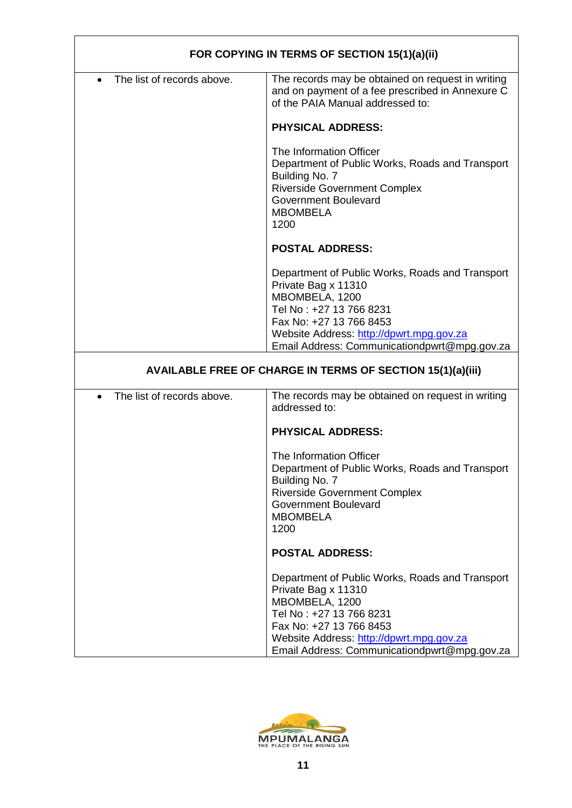| FOR COPYING IN TERMS OF SECTION 15(1)(a)(ii) |                                                                                                                                                                                                                                            |  |
|----------------------------------------------|--------------------------------------------------------------------------------------------------------------------------------------------------------------------------------------------------------------------------------------------|--|
| The list of records above.<br>$\bullet$      | The records may be obtained on request in writing<br>and on payment of a fee prescribed in Annexure C<br>of the PAIA Manual addressed to:                                                                                                  |  |
|                                              | <b>PHYSICAL ADDRESS:</b>                                                                                                                                                                                                                   |  |
|                                              | The Information Officer<br>Department of Public Works, Roads and Transport<br>Building No. 7<br><b>Riverside Government Complex</b><br><b>Government Boulevard</b><br><b>MBOMBELA</b><br>1200                                              |  |
|                                              | <b>POSTAL ADDRESS:</b>                                                                                                                                                                                                                     |  |
|                                              | Department of Public Works, Roads and Transport<br>Private Bag x 11310<br>MBOMBELA, 1200<br>Tel No: +27 13 766 8231<br>Fax No: +27 13 766 8453<br>Website Address: http://dpwrt.mpg.gov.za<br>Email Address: Communicationdpwrt@mpg.gov.za |  |
|                                              |                                                                                                                                                                                                                                            |  |
|                                              | AVAILABLE FREE OF CHARGE IN TERMS OF SECTION 15(1)(a)(iii)                                                                                                                                                                                 |  |
| The list of records above.<br>$\bullet$      | The records may be obtained on request in writing<br>addressed to:                                                                                                                                                                         |  |
|                                              | <b>PHYSICAL ADDRESS:</b>                                                                                                                                                                                                                   |  |
|                                              | The Information Officer<br>Department of Public Works, Roads and Transport<br>Building No. 7<br><b>Riverside Government Complex</b><br><b>Government Boulevard</b><br><b>MBOMBELA</b><br>1200                                              |  |
|                                              | <b>POSTAL ADDRESS:</b>                                                                                                                                                                                                                     |  |
|                                              | Department of Public Works, Roads and Transport<br>Private Bag x 11310<br>MBOMBELA, 1200<br>Tel No: +27 13 766 8231<br>Fax No: +27 13 766 8453<br>Website Address: http://dpwrt.mpg.gov.za<br>Email Address: Communicationdpwrt@mpg.gov.za |  |

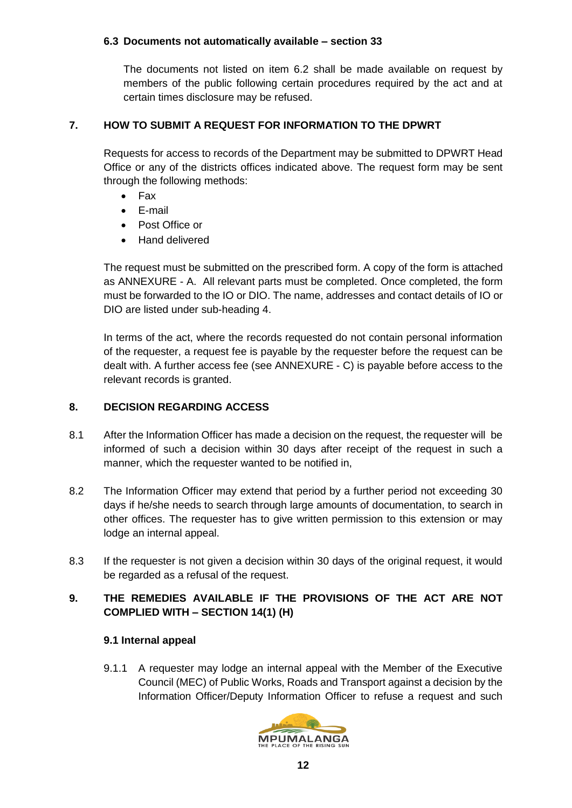#### **6.3 Documents not automatically available – section 33**

The documents not listed on item 6.2 shall be made available on request by members of the public following certain procedures required by the act and at certain times disclosure may be refused.

#### **7. HOW TO SUBMIT A REQUEST FOR INFORMATION TO THE DPWRT**

Requests for access to records of the Department may be submitted to DPWRT Head Office or any of the districts offices indicated above. The request form may be sent through the following methods:

- Fax
- E-mail
- Post Office or
- Hand delivered

The request must be submitted on the prescribed form. A copy of the form is attached as ANNEXURE - A. All relevant parts must be completed. Once completed, the form must be forwarded to the IO or DIO. The name, addresses and contact details of IO or DIO are listed under sub-heading 4.

In terms of the act, where the records requested do not contain personal information of the requester, a request fee is payable by the requester before the request can be dealt with. A further access fee (see ANNEXURE - C) is payable before access to the relevant records is granted.

### **8. DECISION REGARDING ACCESS**

- 8.1 After the Information Officer has made a decision on the request, the requester will be informed of such a decision within 30 days after receipt of the request in such a manner, which the requester wanted to be notified in,
- 8.2 The Information Officer may extend that period by a further period not exceeding 30 days if he/she needs to search through large amounts of documentation, to search in other offices. The requester has to give written permission to this extension or may lodge an internal appeal.
- 8.3 If the requester is not given a decision within 30 days of the original request, it would be regarded as a refusal of the request.

## **9. THE REMEDIES AVAILABLE IF THE PROVISIONS OF THE ACT ARE NOT COMPLIED WITH – SECTION 14(1) (H)**

#### **9.1 Internal appeal**

9.1.1 A requester may lodge an internal appeal with the Member of the Executive Council (MEC) of Public Works, Roads and Transport against a decision by the Information Officer/Deputy Information Officer to refuse a request and such

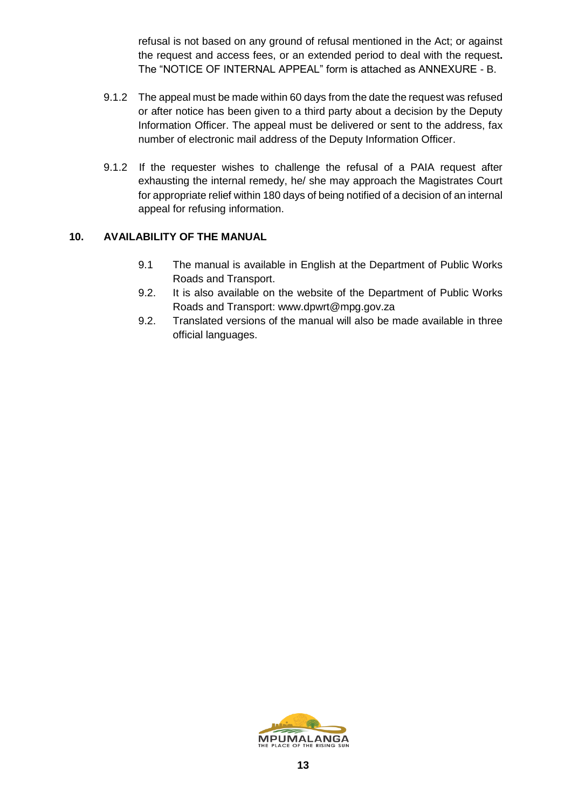refusal is not based on any ground of refusal mentioned in the Act; or against the request and access fees, or an extended period to deal with the request**.** The "NOTICE OF INTERNAL APPEAL" form is attached as ANNEXURE - B.

- 9.1.2 The appeal must be made within 60 days from the date the request was refused or after notice has been given to a third party about a decision by the Deputy Information Officer. The appeal must be delivered or sent to the address, fax number of electronic mail address of the Deputy Information Officer.
- 9.1.2 If the requester wishes to challenge the refusal of a PAIA request after exhausting the internal remedy, he/ she may approach the Magistrates Court for appropriate relief within 180 days of being notified of a decision of an internal appeal for refusing information.

### **10. AVAILABILITY OF THE MANUAL**

- 9.1 The manual is available in English at the Department of Public Works Roads and Transport.
- 9.2. It is also available on the website of the Department of Public Works Roads and Transport: www.dpwrt@mpg.gov.za
- 9.2. Translated versions of the manual will also be made available in three official languages.

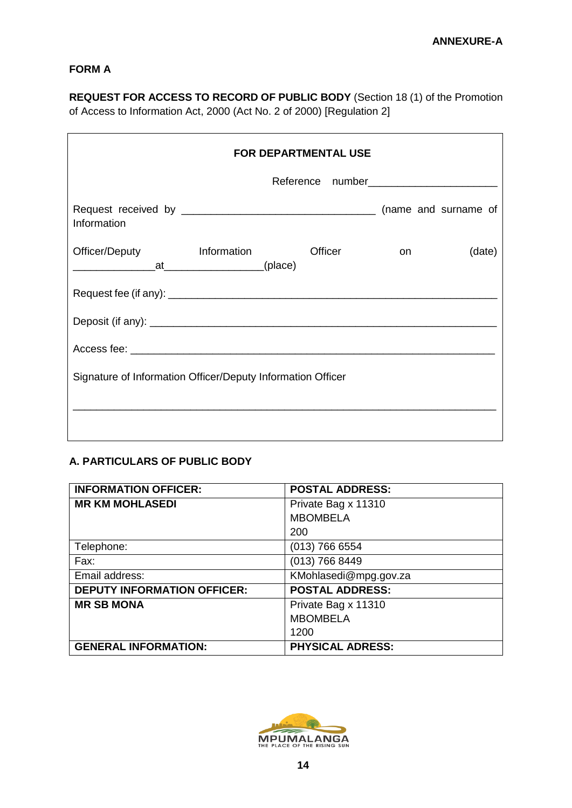### **FORM A**

**REQUEST FOR ACCESS TO RECORD OF PUBLIC BODY** (Section 18 (1) of the Promotion of Access to Information Act, 2000 (Act No. 2 of 2000) [Regulation 2]

| FOR DEPARTMENTAL USE                                        |  |               |        |  |  |  |  |  |
|-------------------------------------------------------------|--|---------------|--------|--|--|--|--|--|
|                                                             |  |               |        |  |  |  |  |  |
| Information                                                 |  |               |        |  |  |  |  |  |
| Officer/Deputy Information                                  |  | Officer<br>on | (date) |  |  |  |  |  |
|                                                             |  |               |        |  |  |  |  |  |
|                                                             |  |               |        |  |  |  |  |  |
|                                                             |  |               |        |  |  |  |  |  |
| Signature of Information Officer/Deputy Information Officer |  |               |        |  |  |  |  |  |
|                                                             |  |               |        |  |  |  |  |  |

## **A. PARTICULARS OF PUBLIC BODY**

| <b>INFORMATION OFFICER:</b>        | <b>POSTAL ADDRESS:</b>  |
|------------------------------------|-------------------------|
| <b>MR KM MOHLASEDI</b>             | Private Bag x 11310     |
|                                    | <b>MBOMBELA</b>         |
|                                    | 200                     |
| Telephone:                         | $(013)$ 766 6554        |
| Fax:                               | $(013)$ 766 8449        |
| Email address:                     | KMohlasedi@mpg.gov.za   |
| <b>DEPUTY INFORMATION OFFICER:</b> | <b>POSTAL ADDRESS:</b>  |
| <b>MR SB MONA</b>                  | Private Bag x 11310     |
|                                    | <b>MBOMBELA</b>         |
|                                    | 1200                    |
| <b>GENERAL INFORMATION:</b>        | <b>PHYSICAL ADRESS:</b> |

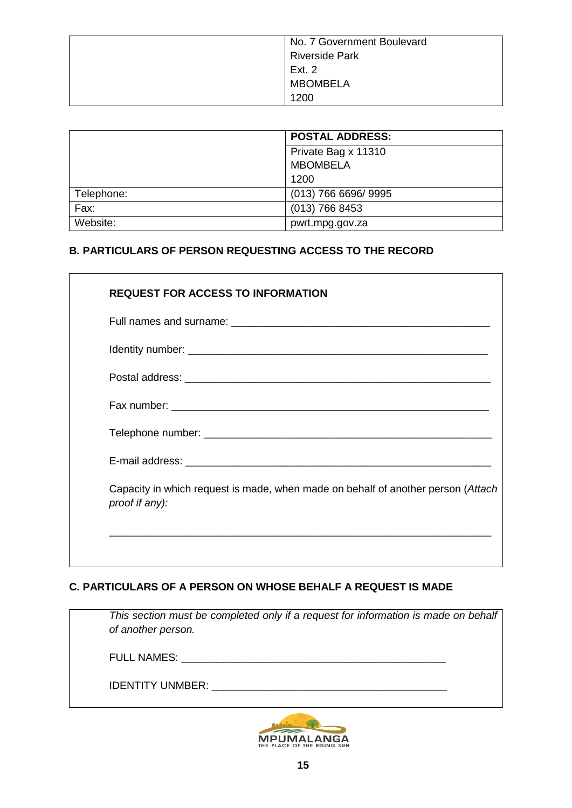|            | <b>POSTAL ADDRESS:</b> |
|------------|------------------------|
|            | Private Bag x 11310    |
|            | <b>MBOMBELA</b>        |
|            | 1200                   |
| Telephone: | (013) 766 6696/ 9995   |
| Fax:       | $(013)$ 766 8453       |
| Website:   | pwrt.mpg.gov.za        |

## **B. PARTICULARS OF PERSON REQUESTING ACCESS TO THE RECORD**

|                | <b>REQUEST FOR ACCESS TO INFORMATION</b>                                         |
|----------------|----------------------------------------------------------------------------------|
|                |                                                                                  |
|                |                                                                                  |
|                |                                                                                  |
|                |                                                                                  |
|                |                                                                                  |
|                |                                                                                  |
| proof if any): | Capacity in which request is made, when made on behalf of another person (Attach |

## **C. PARTICULARS OF A PERSON ON WHOSE BEHALF A REQUEST IS MADE**

| This section must be completed only if a request for information is made on behalf<br>of another person. |  |
|----------------------------------------------------------------------------------------------------------|--|
| <b>FULL NAMES:</b>                                                                                       |  |
| <b>IDENTITY UNMBER:</b>                                                                                  |  |
|                                                                                                          |  |

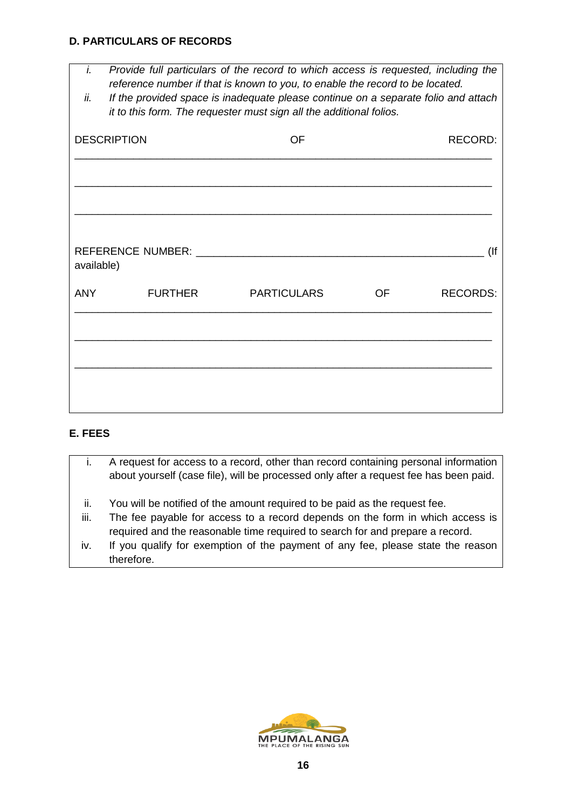#### **D. PARTICULARS OF RECORDS**

- *i. Provide full particulars of the record to which access is requested, including the reference number if that is known to you, to enable the record to be located.*
- *ii. If the provided space is inadequate please continue on a separate folio and attach it to this form. The requester must sign all the additional folios.*

| <b>DESCRIPTION</b> |                | OF                 | RECORD:   |                 |  |  |
|--------------------|----------------|--------------------|-----------|-----------------|--|--|
|                    |                |                    |           |                 |  |  |
|                    |                |                    |           |                 |  |  |
| available)         |                |                    |           | (               |  |  |
| <b>ANY</b>         | <b>FURTHER</b> | <b>PARTICULARS</b> | <b>OF</b> | <b>RECORDS:</b> |  |  |
|                    |                |                    |           |                 |  |  |
|                    |                |                    |           |                 |  |  |
|                    |                |                    |           |                 |  |  |

## **E. FEES**

- i. A request for access to a record, other than record containing personal information about yourself (case file), will be processed only after a request fee has been paid.
- ii. You will be notified of the amount required to be paid as the request fee.
- iii. The fee payable for access to a record depends on the form in which access is required and the reasonable time required to search for and prepare a record.
- iv. If you qualify for exemption of the payment of any fee, please state the reason therefore.

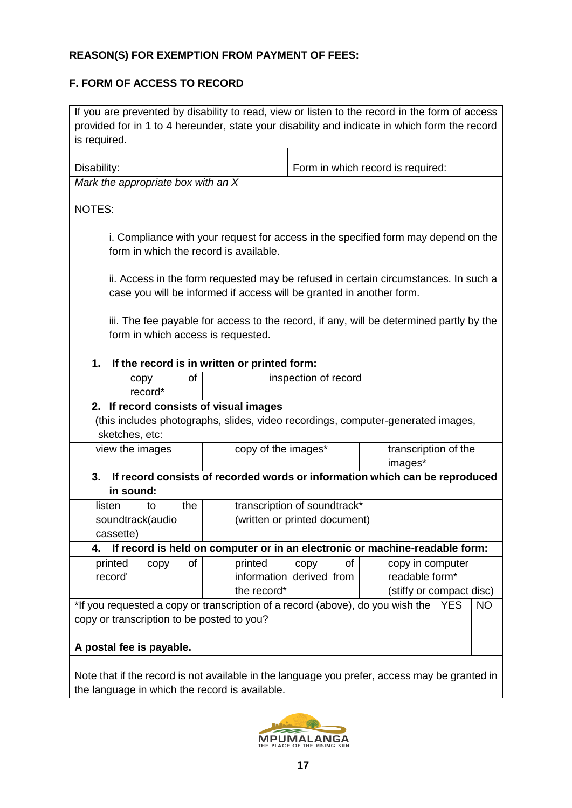### **REASON(S) FOR EXEMPTION FROM PAYMENT OF FEES:**

## **F. FORM OF ACCESS TO RECORD**

If you are prevented by disability to read, view or listen to the record in the form of access provided for in 1 to 4 hereunder, state your disability and indicate in which form the record is required. Disability:  $\vert$  Form in which record is required: *Mark the appropriate box with an X* NOTES: i. Compliance with your request for access in the specified form may depend on the form in which the record is available. ii. Access in the form requested may be refused in certain circumstances. In such a case you will be informed if access will be granted in another form. iii. The fee payable for access to the record, if any, will be determined partly by the form in which access is requested. **1. If the record is in written or printed form:** copy of record\* inspection of record **2. If record consists of visual images** (this includes photographs, slides, video recordings, computer-generated images, sketches, etc: view the images  $\log$  copy of the images<sup>\*</sup>  $\log$  transcription of the images\* **3. If record consists of recorded words or information which can be reproduced in sound:** listen to the soundtrack(audio cassette) transcription of soundtrack\* (written or printed document) **4. If record is held on computer or in an electronic or machine-readable form:** printed copy of record' printed copy of information derived from the record\* copy in computer readable form\* (stiffy or compact disc) \*If you requested a copy or transcription of a record (above), do you wish the copy or transcription to be posted to you? **A postal fee is payable.** YES NO Note that if the record is not available in the language you prefer, access may be granted in



the language in which the record is available.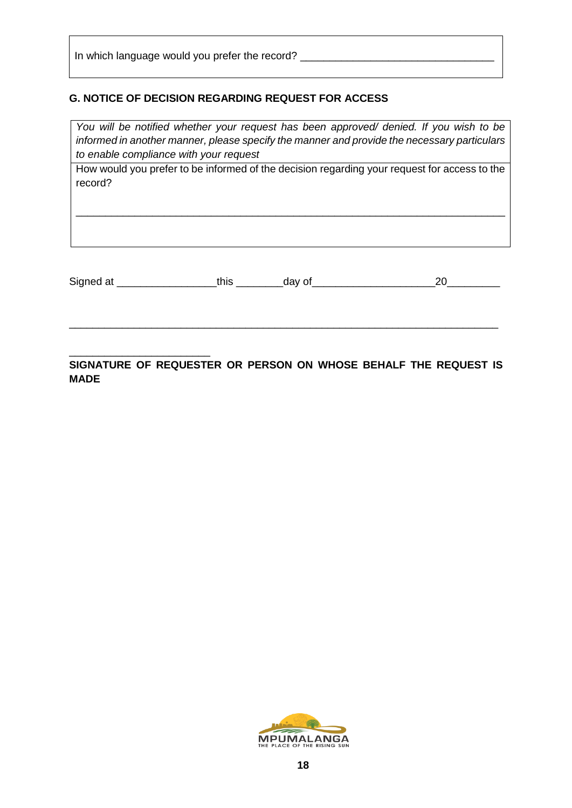In which language would you prefer the record? \_\_\_\_\_\_\_\_\_\_\_\_\_\_\_\_\_\_\_\_\_\_\_\_\_\_\_\_\_\_\_\_\_

### **G. NOTICE OF DECISION REGARDING REQUEST FOR ACCESS**

*You will be notified whether your request has been approved/ denied. If you wish to be informed in another manner, please specify the manner and provide the necessary particulars to enable compliance with your request*

How would you prefer to be informed of the decision regarding your request for access to the record?

\_\_\_\_\_\_\_\_\_\_\_\_\_\_\_\_\_\_\_\_\_\_\_\_\_\_\_\_\_\_\_\_\_\_\_\_\_\_\_\_\_\_\_\_\_\_\_\_\_\_\_\_\_\_\_\_\_\_\_\_\_\_\_\_\_\_\_\_\_\_\_\_\_

Signed at \_\_\_\_\_\_\_\_\_\_\_\_\_\_\_\_\_this \_\_\_\_\_\_\_\_day of\_\_\_\_\_\_\_\_\_\_\_\_\_\_\_\_\_\_\_\_\_20\_\_\_\_\_\_\_\_\_

\_\_\_\_\_\_\_\_\_\_\_\_\_\_\_\_\_\_\_\_\_\_\_\_\_\_\_\_\_\_\_\_\_\_\_\_\_\_\_\_\_\_\_\_\_\_\_\_\_\_\_\_\_\_\_\_\_\_\_\_\_\_\_\_\_\_\_\_\_\_\_\_\_

\_\_\_\_\_\_\_\_\_\_\_\_\_\_\_\_\_\_\_\_\_\_\_\_ **SIGNATURE OF REQUESTER OR PERSON ON WHOSE BEHALF THE REQUEST IS MADE**

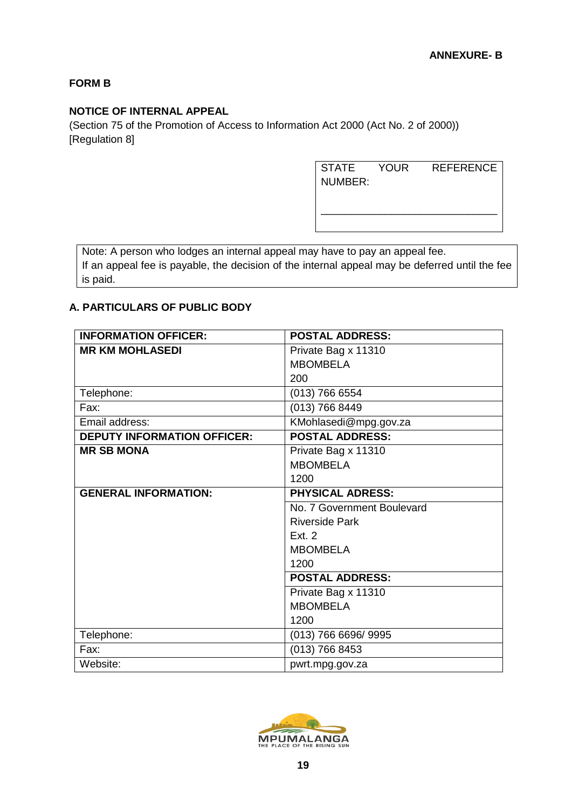### **FORM B**

### **NOTICE OF INTERNAL APPEAL**

(Section 75 of the Promotion of Access to Information Act 2000 (Act No. 2 of 2000)) [Regulation 8]

> STATE YOUR REFERENCE NUMBER:

\_\_\_\_\_\_\_\_\_\_\_\_\_\_\_\_\_\_\_\_\_\_\_\_\_\_\_\_\_\_

Note: A person who lodges an internal appeal may have to pay an appeal fee. If an appeal fee is payable, the decision of the internal appeal may be deferred until the fee is paid.

#### **A. PARTICULARS OF PUBLIC BODY**

| <b>INFORMATION OFFICER:</b>        | <b>POSTAL ADDRESS:</b>     |
|------------------------------------|----------------------------|
| <b>MR KM MOHLASEDI</b>             | Private Bag x 11310        |
|                                    | <b>MBOMBELA</b>            |
|                                    | 200                        |
| Telephone:                         | (013) 766 6554             |
| Fax:                               | (013) 766 8449             |
| Email address:                     | KMohlasedi@mpg.gov.za      |
| <b>DEPUTY INFORMATION OFFICER:</b> | <b>POSTAL ADDRESS:</b>     |
| <b>MR SB MONA</b>                  | Private Bag x 11310        |
|                                    | <b>MBOMBELA</b>            |
|                                    | 1200                       |
| <b>GENERAL INFORMATION:</b>        | <b>PHYSICAL ADRESS:</b>    |
|                                    | No. 7 Government Boulevard |
|                                    | <b>Riverside Park</b>      |
|                                    | Fxt 2                      |
|                                    | <b>MBOMBELA</b>            |
|                                    | 1200                       |
|                                    | <b>POSTAL ADDRESS:</b>     |
|                                    | Private Bag x 11310        |
|                                    | <b>MBOMBELA</b>            |
|                                    | 1200                       |
| Telephone:                         | (013) 766 6696/ 9995       |
| Fax:                               | (013) 766 8453             |
| Website:                           | pwrt.mpg.gov.za            |

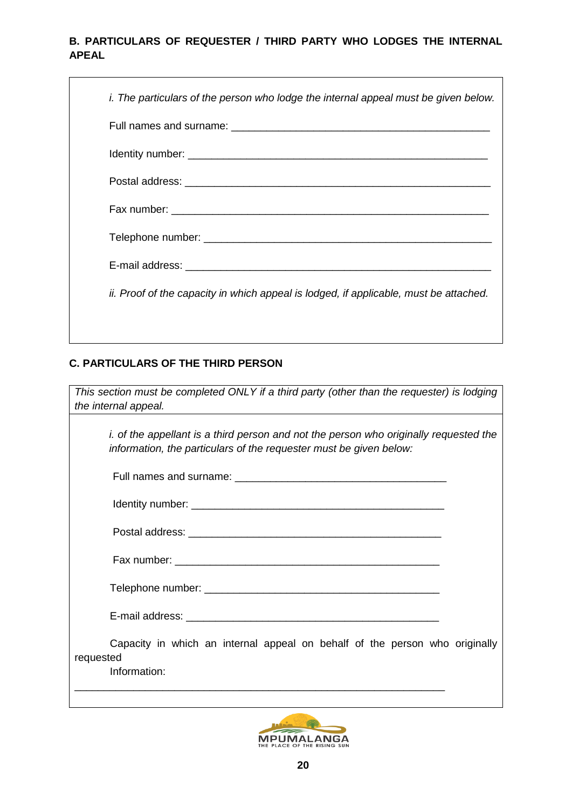### **B. PARTICULARS OF REQUESTER / THIRD PARTY WHO LODGES THE INTERNAL APEAL**

| i. The particulars of the person who lodge the internal appeal must be given below.   |
|---------------------------------------------------------------------------------------|
|                                                                                       |
|                                                                                       |
|                                                                                       |
|                                                                                       |
|                                                                                       |
|                                                                                       |
| ii. Proof of the capacity in which appeal is lodged, if applicable, must be attached. |
|                                                                                       |

## **C. PARTICULARS OF THE THIRD PERSON**

| This section must be completed ONLY if a third party (other than the requester) is lodging                                                                         |
|--------------------------------------------------------------------------------------------------------------------------------------------------------------------|
| the internal appeal.<br><u> 1980 - Johann Barn, mars ann an t-Amhain Aonaichte ann an t-Amhain Aonaichte ann an t-Amhain Aonaichte ann an</u>                      |
| <i>i.</i> of the appellant is a third person and not the person who originally requested the<br>information, the particulars of the requester must be given below: |
|                                                                                                                                                                    |
|                                                                                                                                                                    |
|                                                                                                                                                                    |
|                                                                                                                                                                    |
|                                                                                                                                                                    |
|                                                                                                                                                                    |
| Capacity in which an internal appeal on behalf of the person who originally<br>requested                                                                           |
| Information:                                                                                                                                                       |
|                                                                                                                                                                    |
| <b>AA LEE</b>                                                                                                                                                      |



MPUMALANGA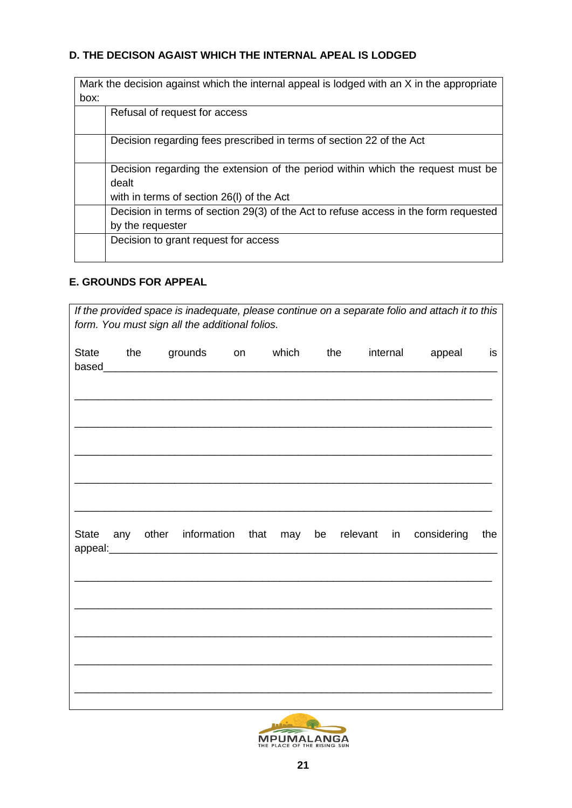### **D. THE DECISON AGAIST WHICH THE INTERNAL APEAL IS LODGED**

|      | Mark the decision against which the internal appeal is lodged with an X in the appropriate |
|------|--------------------------------------------------------------------------------------------|
| box: |                                                                                            |
|      | Refusal of request for access                                                              |
|      | Decision regarding fees prescribed in terms of section 22 of the Act                       |
|      | Decision regarding the extension of the period within which the request must be            |
|      | dealt                                                                                      |
|      | with in terms of section 26(I) of the Act                                                  |
|      | Decision in terms of section 29(3) of the Act to refuse access in the form requested       |
|      | by the requester                                                                           |
|      | Decision to grant request for access                                                       |
|      |                                                                                            |

### **E. GROUNDS FOR APPEAL**

|              |     | form. You must sign all the additional folios.   |            |  |       |     |          |    | If the provided space is inadequate, please continue on a separate folio and attach it to this |     |
|--------------|-----|--------------------------------------------------|------------|--|-------|-----|----------|----|------------------------------------------------------------------------------------------------|-----|
| <b>State</b> | the |                                                  | grounds on |  | which | the | internal |    | appeal                                                                                         | is  |
|              |     | State any other information that may be relevant |            |  |       |     |          | in | considering                                                                                    | the |
|              |     |                                                  |            |  |       |     |          |    |                                                                                                |     |

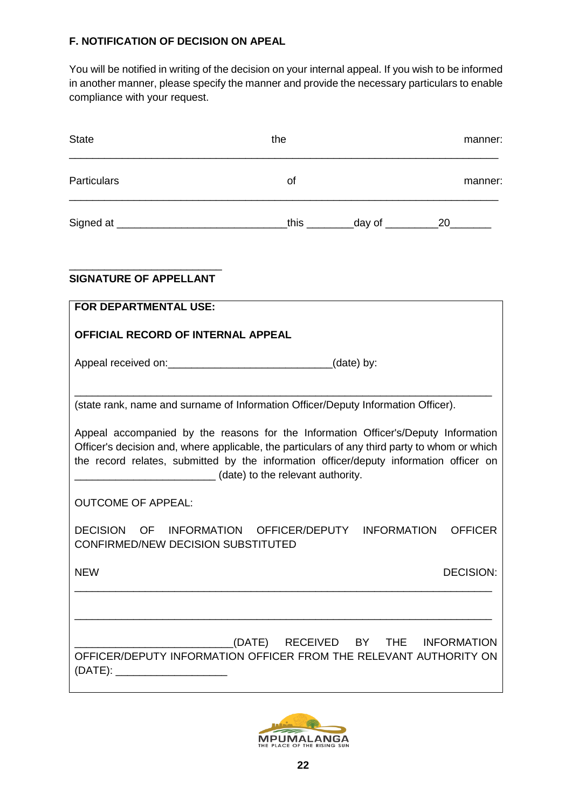### **F. NOTIFICATION OF DECISION ON APEAL**

You will be notified in writing of the decision on your internal appeal. If you wish to be informed in another manner, please specify the manner and provide the necessary particulars to enable compliance with your request.

| <b>State</b>                                                                                                                                                                                                                                                                                                                                                                                            | the                                | manner:          |
|---------------------------------------------------------------------------------------------------------------------------------------------------------------------------------------------------------------------------------------------------------------------------------------------------------------------------------------------------------------------------------------------------------|------------------------------------|------------------|
| <b>Particulars</b>                                                                                                                                                                                                                                                                                                                                                                                      | of                                 | manner:          |
|                                                                                                                                                                                                                                                                                                                                                                                                         |                                    |                  |
| <b>SIGNATURE OF APPELLANT</b>                                                                                                                                                                                                                                                                                                                                                                           |                                    |                  |
| <b>FOR DEPARTMENTAL USE:</b>                                                                                                                                                                                                                                                                                                                                                                            |                                    |                  |
| <b>OFFICIAL RECORD OF INTERNAL APPEAL</b>                                                                                                                                                                                                                                                                                                                                                               |                                    |                  |
|                                                                                                                                                                                                                                                                                                                                                                                                         |                                    |                  |
| (state rank, name and surname of Information Officer/Deputy Information Officer).<br>Appeal accompanied by the reasons for the Information Officer's/Deputy Information<br>Officer's decision and, where applicable, the particulars of any third party to whom or which<br>the record relates, submitted by the information officer/deputy information officer on<br>(date) to the relevant authority. |                                    |                  |
| <b>OUTCOME OF APPEAL:</b>                                                                                                                                                                                                                                                                                                                                                                               |                                    |                  |
| DECISION OF INFORMATION OFFICER/DEPUTY INFORMATION<br><b>CONFIRMED/NEW DECISION SUBSTITUTED</b>                                                                                                                                                                                                                                                                                                         |                                    | <b>OFFICER</b>   |
| <b>NEW</b>                                                                                                                                                                                                                                                                                                                                                                                              |                                    | <b>DECISION:</b> |
|                                                                                                                                                                                                                                                                                                                                                                                                         |                                    |                  |
| OFFICER/DEPUTY INFORMATION OFFICER FROM THE RELEVANT AUTHORITY ON<br>(DATE): ________________________                                                                                                                                                                                                                                                                                                   | (DATE) RECEIVED BY THE INFORMATION |                  |

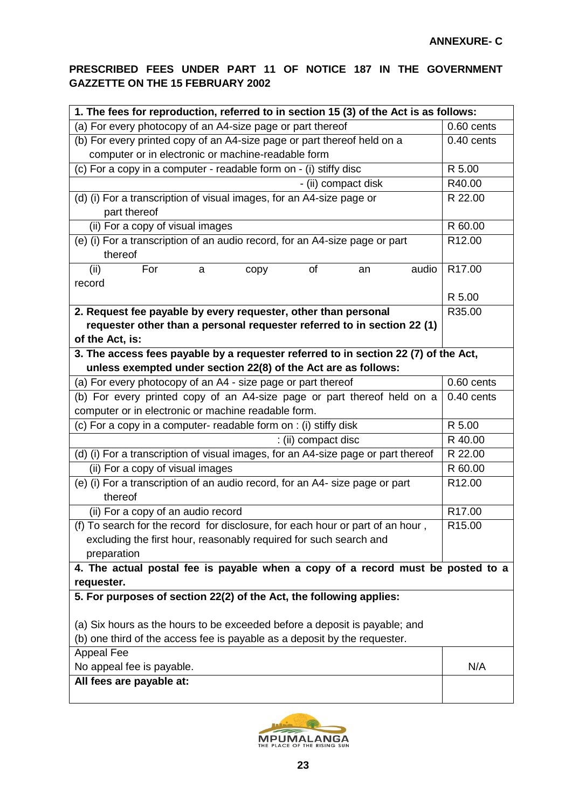### **PRESCRIBED FEES UNDER PART 11 OF NOTICE 187 IN THE GOVERNMENT GAZZETTE ON THE 15 FEBRUARY 2002**

| 1. The fees for reproduction, referred to in section 15 (3) of the Act is as follows:      |              |  |  |  |
|--------------------------------------------------------------------------------------------|--------------|--|--|--|
| (a) For every photocopy of an A4-size page or part thereof                                 | 0.60 cents   |  |  |  |
| (b) For every printed copy of an A4-size page or part thereof held on a                    | $0.40$ cents |  |  |  |
| computer or in electronic or machine-readable form                                         |              |  |  |  |
| (c) For a copy in a computer - readable form on - (i) stiffy disc                          | R 5.00       |  |  |  |
| - (ii) compact disk                                                                        | R40.00       |  |  |  |
| (d) (i) For a transcription of visual images, for an A4-size page or<br>part thereof       | R 22.00      |  |  |  |
| (ii) For a copy of visual images                                                           | R 60.00      |  |  |  |
| (e) (i) For a transcription of an audio record, for an A4-size page or part<br>thereof     | R12.00       |  |  |  |
| (ii)<br>For<br>of<br>audio<br>a<br>an<br>copy<br>record                                    | R17.00       |  |  |  |
|                                                                                            | R 5.00       |  |  |  |
| 2. Request fee payable by every requester, other than personal                             | R35.00       |  |  |  |
| requester other than a personal requester referred to in section 22 (1)<br>of the Act, is: |              |  |  |  |
| 3. The access fees payable by a requester referred to in section 22 (7) of the Act,        |              |  |  |  |
| unless exempted under section 22(8) of the Act are as follows:                             |              |  |  |  |
| (a) For every photocopy of an A4 - size page or part thereof                               | 0.60 cents   |  |  |  |
| (b) For every printed copy of an A4-size page or part thereof held on a                    | $0.40$ cents |  |  |  |
| computer or in electronic or machine readable form.                                        |              |  |  |  |
| (c) For a copy in a computer- readable form on : (i) stiffy disk                           | R 5.00       |  |  |  |
| : (ii) compact disc                                                                        | R 40.00      |  |  |  |
| (d) (i) For a transcription of visual images, for an A4-size page or part thereof          | R 22.00      |  |  |  |
| (ii) For a copy of visual images                                                           | R 60.00      |  |  |  |
| (e) (i) For a transcription of an audio record, for an A4- size page or part<br>thereof    | R12.00       |  |  |  |
| (ii) For a copy of an audio record                                                         | R17.00       |  |  |  |
| (f) To search for the record for disclosure, for each hour or part of an hour,             | R15.00       |  |  |  |
| excluding the first hour, reasonably required for such search and<br>preparation           |              |  |  |  |
| 4. The actual postal fee is payable when a copy of a record must be posted to a            |              |  |  |  |
| requester.                                                                                 |              |  |  |  |
| 5. For purposes of section 22(2) of the Act, the following applies:                        |              |  |  |  |
| (a) Six hours as the hours to be exceeded before a deposit is payable; and                 |              |  |  |  |
| (b) one third of the access fee is payable as a deposit by the requester.                  |              |  |  |  |
| <b>Appeal Fee</b>                                                                          |              |  |  |  |
| No appeal fee is payable.                                                                  | N/A          |  |  |  |
| All fees are payable at:                                                                   |              |  |  |  |